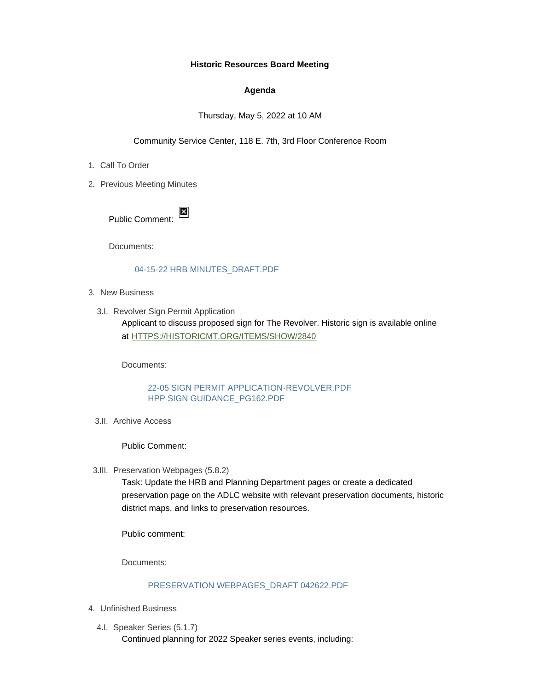#### **Historic Resources Board Meeting**

### **Agenda**

Thursday, May 5, 2022 at 10 AM

Community Service Center, 118 E. 7th, 3rd Floor Conference Room

- 1. Call To Order
- 2. Previous Meeting Minutes

Public Comment:

Documents:

# [04-15-22 HRB MINUTES\\_DRAFT.PDF](https://www.adlc.us/AgendaCenter/ViewFile/Item/330?fileID=545)

- 3. New Business
	- 3.I. Revolver Sign Permit Application Applicant to discuss proposed sign for The Revolver. Historic sign is available online at [HTTPS://HISTORICMT.ORG/ITEMS/SHOW/2840](https://historicmt.org/items/show/2840)

Documents:

# [22-05 SIGN PERMIT APPLICATION-REVOLVER.PDF](https://www.adlc.us/AgendaCenter/ViewFile/Item/339?fileID=548) [HPP SIGN GUIDANCE\\_PG162.PDF](https://www.adlc.us/AgendaCenter/ViewFile/Item/339?fileID=549)

3.II. Archive Access

Public Comment:

3.III. Preservation Webpages (5.8.2)

Task: Update the HRB and Planning Department pages or create a dedicated preservation page on the ADLC website with relevant preservation documents, historic district maps, and links to preservation resources.

Public comment:

Documents:

# [PRESERVATION WEBPAGES\\_DRAFT 042622.PDF](https://www.adlc.us/AgendaCenter/ViewFile/Item/338?fileID=547)

- Unfinished Business 4.
	- 4.I. Speaker Series (5.1.7) Continued planning for 2022 Speaker series events, including: